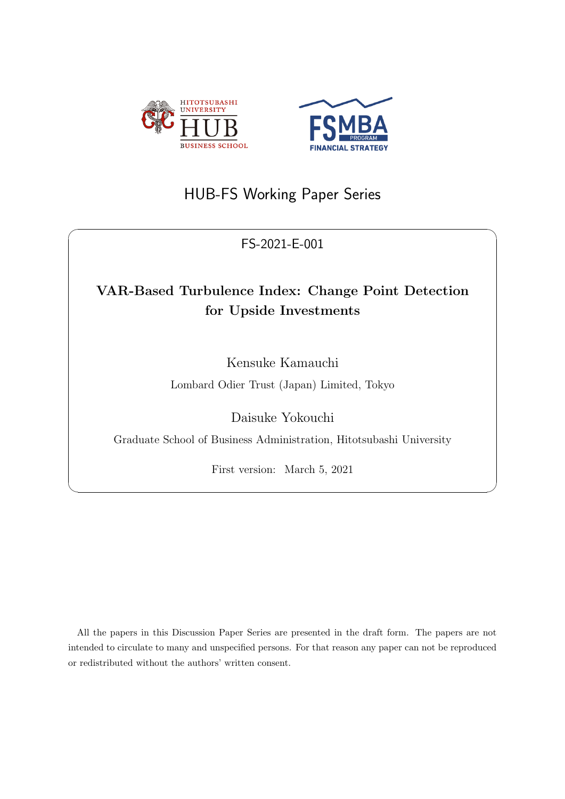



# HUB-FS Working Paper Series

## FS-2021-E-001

 $\sqrt{2\pi}$ 

# **VAR-Based Turbulence Index: Change Point Detection for Upside Investments**

Kensuke Kamauchi

Lombard Odier Trust (Japan) Limited, Tokyo

Daisuke Yokouchi

Graduate School of Business Administration, Hitotsubashi University

First version: March 5, 2021

✒ ✑

All the papers in this Discussion Paper Series are presented in the draft form. The papers are not intended to circulate to many and unspecified persons. For that reason any paper can not be reproduced or redistributed without the authors' written consent.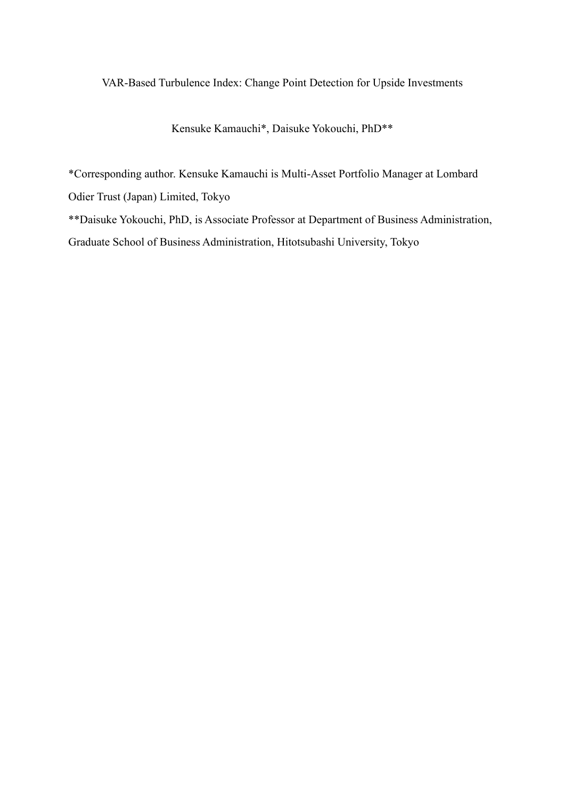### VAR-Based Turbulence Index: Change Point Detection for Upside Investments

Kensuke Kamauchi\*, Daisuke Yokouchi, PhD\*\*

\*Corresponding author. Kensuke Kamauchi is Multi-Asset Portfolio Manager at Lombard

Odier Trust (Japan) Limited, Tokyo

\*\*Daisuke Yokouchi, PhD, is Associate Professor at Department of Business Administration,

Graduate School of Business Administration, Hitotsubashi University, Tokyo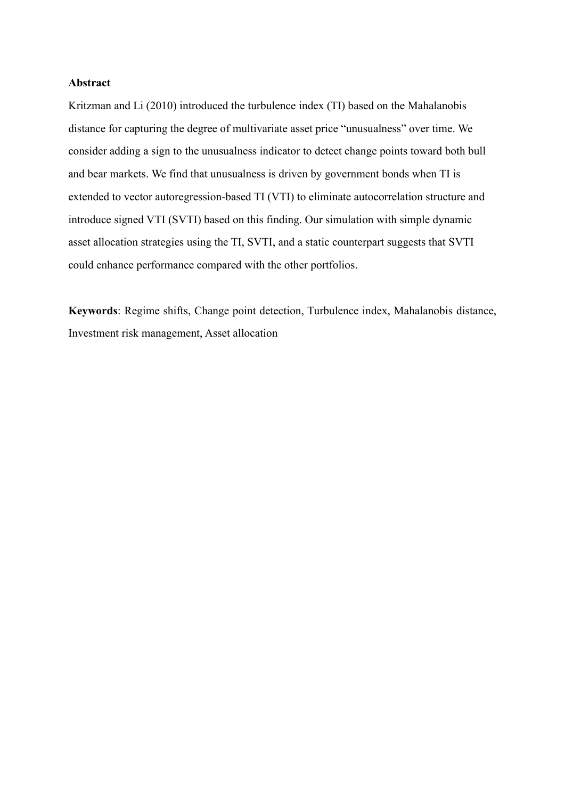#### **Abstract**

Kritzman and Li (2010) introduced the turbulence index (TI) based on the Mahalanobis distance for capturing the degree of multivariate asset price "unusualness" over time. We consider adding a sign to the unusualness indicator to detect change points toward both bull and bear markets. We find that unusualness is driven by government bonds when TI is extended to vector autoregression-based TI (VTI) to eliminate autocorrelation structure and introduce signed VTI (SVTI) based on this finding. Our simulation with simple dynamic asset allocation strategies using the TI, SVTI, and a static counterpart suggests that SVTI could enhance performance compared with the other portfolios.

**Keywords**: Regime shifts, Change point detection, Turbulence index, Mahalanobis distance, Investment risk management, Asset allocation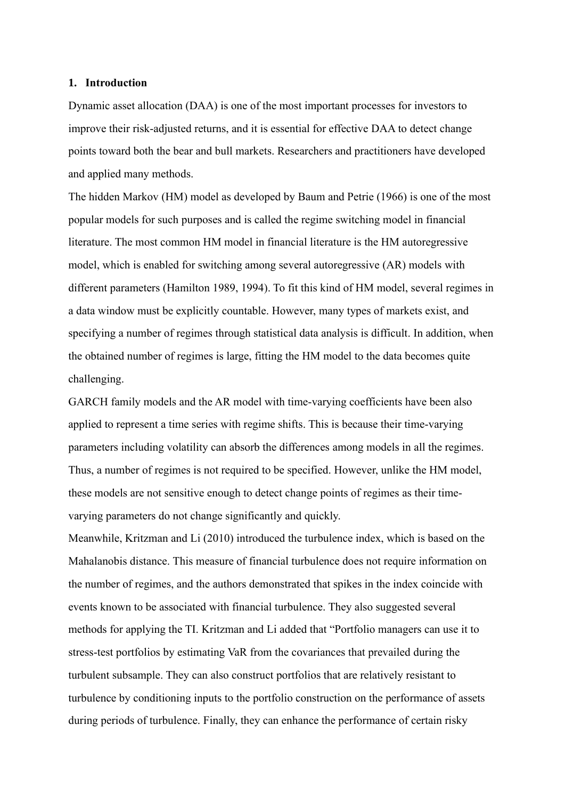#### **1. Introduction**

Dynamic asset allocation (DAA) is one of the most important processes for investors to improve their risk-adjusted returns, and it is essential for effective DAA to detect change points toward both the bear and bull markets. Researchers and practitioners have developed and applied many methods.

The hidden Markov (HM) model as developed by Baum and Petrie (1966) is one of the most popular models for such purposes and is called the regime switching model in financial literature. The most common HM model in financial literature is the HM autoregressive model, which is enabled for switching among several autoregressive (AR) models with different parameters (Hamilton 1989, 1994). To fit this kind of HM model, several regimes in a data window must be explicitly countable. However, many types of markets exist, and specifying a number of regimes through statistical data analysis is difficult. In addition, when the obtained number of regimes is large, fitting the HM model to the data becomes quite challenging.

GARCH family models and the AR model with time-varying coefficients have been also applied to represent a time series with regime shifts. This is because their time-varying parameters including volatility can absorb the differences among models in all the regimes. Thus, a number of regimes is not required to be specified. However, unlike the HM model, these models are not sensitive enough to detect change points of regimes as their timevarying parameters do not change significantly and quickly.

Meanwhile, Kritzman and Li (2010) introduced the turbulence index, which is based on the Mahalanobis distance. This measure of financial turbulence does not require information on the number of regimes, and the authors demonstrated that spikes in the index coincide with events known to be associated with financial turbulence. They also suggested several methods for applying the TI. Kritzman and Li added that "Portfolio managers can use it to stress-test portfolios by estimating VaR from the covariances that prevailed during the turbulent subsample. They can also construct portfolios that are relatively resistant to turbulence by conditioning inputs to the portfolio construction on the performance of assets during periods of turbulence. Finally, they can enhance the performance of certain risky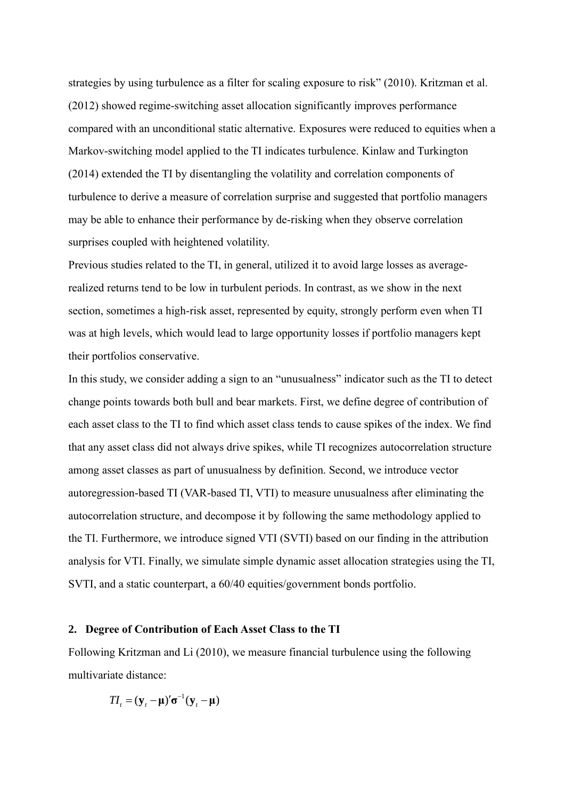strategies by using turbulence as a filter for scaling exposure to risk" (2010). Kritzman et al. (2012) showed regime-switching asset allocation significantly improves performance compared with an unconditional static alternative. Exposures were reduced to equities when a Markov-switching model applied to the TI indicates turbulence. Kinlaw and Turkington (2014) extended the TI by disentangling the volatility and correlation components of turbulence to derive a measure of correlation surprise and suggested that portfolio managers may be able to enhance their performance by de-risking when they observe correlation surprises coupled with heightened volatility.

Previous studies related to the TI, in general, utilized it to avoid large losses as averagerealized returns tend to be low in turbulent periods. In contrast, as we show in the next section, sometimes a high-risk asset, represented by equity, strongly perform even when TI was at high levels, which would lead to large opportunity losses if portfolio managers kept their portfolios conservative.

In this study, we consider adding a sign to an "unusualness" indicator such as the TI to detect change points towards both bull and bear markets. First, we define degree of contribution of each asset class to the TI to find which asset class tends to cause spikes of the index. We find that any asset class did not always drive spikes, while TI recognizes autocorrelation structure among asset classes as part of unusualness by definition. Second, we introduce vector autoregression-based TI (VAR-based TI, VTI) to measure unusualness after eliminating the autocorrelation structure, and decompose it by following the same methodology applied to the TI. Furthermore, we introduce signed VTI (SVTI) based on our finding in the attribution analysis for VTI. Finally, we simulate simple dynamic asset allocation strategies using the TI, SVTI, and a static counterpart, a 60/40 equities/government bonds portfolio.

#### **2. Degree of Contribution of Each Asset Class to the TI**

Following Kritzman and Li (2010), we measure financial turbulence using the following multivariate distance:

$$
TI_t = (\mathbf{y}_t - \boldsymbol{\mu})' \boldsymbol{\sigma}^{-1} (\mathbf{y}_t - \boldsymbol{\mu})
$$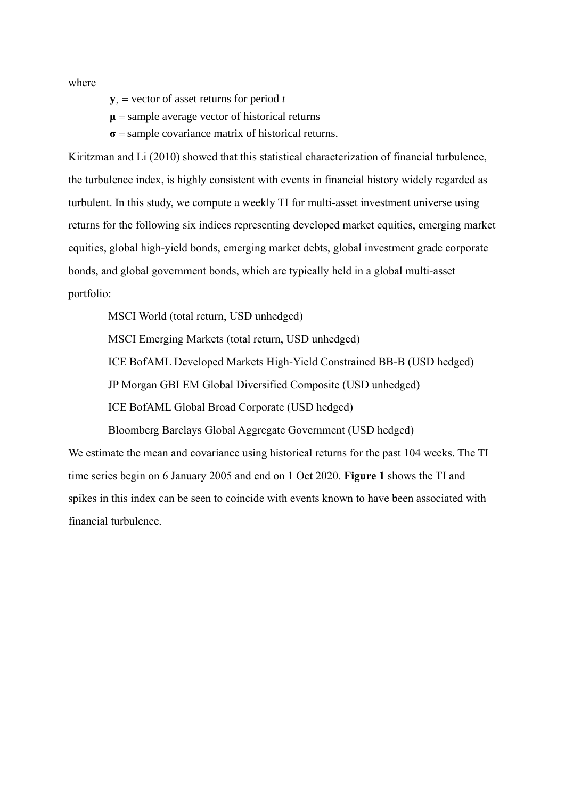where

 $y_t$  = vector of asset returns for period *t* 

**μ** = sample average vector of historical returns

**σ** = sample covariance matrix of historical returns.

Kiritzman and Li (2010) showed that this statistical characterization of financial turbulence, the turbulence index, is highly consistent with events in financial history widely regarded as turbulent. In this study, we compute a weekly TI for multi-asset investment universe using returns for the following six indices representing developed market equities, emerging market equities, global high-yield bonds, emerging market debts, global investment grade corporate bonds, and global government bonds, which are typically held in a global multi-asset portfolio:

MSCI World (total return, USD unhedged)

MSCI Emerging Markets (total return, USD unhedged)

ICE BofAML Developed Markets High-Yield Constrained BB-B (USD hedged)

JP Morgan GBI EM Global Diversified Composite (USD unhedged)

ICE BofAML Global Broad Corporate (USD hedged)

Bloomberg Barclays Global Aggregate Government (USD hedged)

We estimate the mean and covariance using historical returns for the past 104 weeks. The TI time series begin on 6 January 2005 and end on 1 Oct 2020. **Figure 1** shows the TI and spikes in this index can be seen to coincide with events known to have been associated with financial turbulence.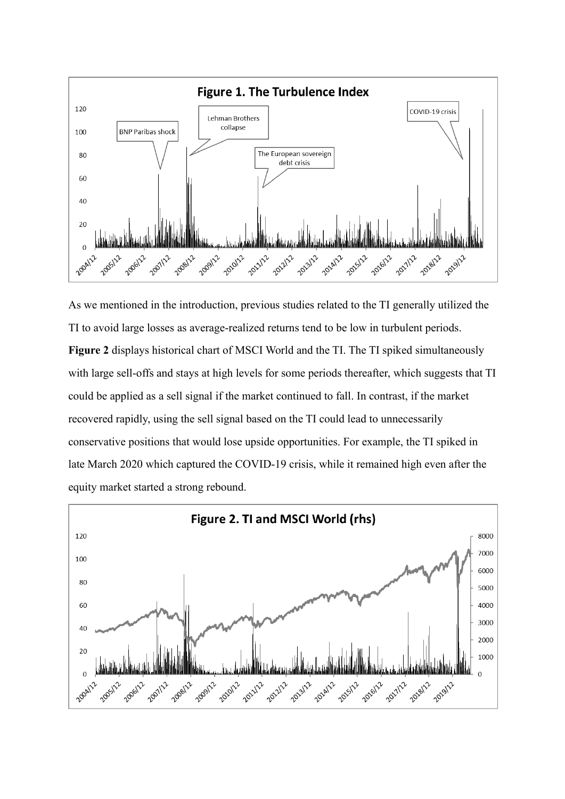

As we mentioned in the introduction, previous studies related to the TI generally utilized the TI to avoid large losses as average-realized returns tend to be low in turbulent periods. **Figure 2** displays historical chart of MSCI World and the TI. The TI spiked simultaneously with large sell-offs and stays at high levels for some periods thereafter, which suggests that TI could be applied as a sell signal if the market continued to fall. In contrast, if the market recovered rapidly, using the sell signal based on the TI could lead to unnecessarily conservative positions that would lose upside opportunities. For example, the TI spiked in late March 2020 which captured the COVID-19 crisis, while it remained high even after the equity market started a strong rebound.

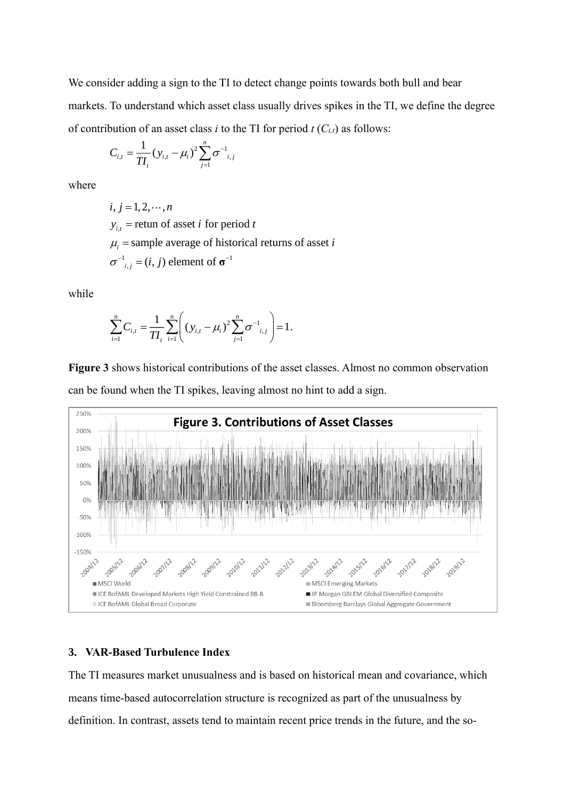We consider adding a sign to the TI to detect change points towards both bull and bear markets. To understand which asset class usually drives spikes in the TI, we define the degree of contribution of an asset class *i* to the TI for period  $t(C_{i,t})$  as follows:

$$
C_{i,t} = \frac{1}{T I_t} (y_{i,t} - \mu_i)^2 \sum_{j=1}^n \sigma^{-1}_{i,j}
$$

where

 $1 \qquad \cdots \qquad 1 \qquad \cdots \qquad 0 \qquad -1$  $\sigma^{-1}_{i,j} = (i, j)$  element of  $\sigma^{-1}$  $i, j = 1, 2, \cdots, n$  $y_{i,t}$  = retun of asset *i* for period *t*  $\mu$ <sub>i</sub> = sample average of historical returns of asset *i* 

while

$$
\sum_{i=1}^{n} C_{i,t} = \frac{1}{T I_t} \sum_{i=1}^{n} \left( (y_{i,t} - \mu_i)^2 \sum_{j=1}^{n} \sigma^{-1}_{i,j} \right) = 1.
$$

**Figure 3** shows historical contributions of the asset classes. Almost no common observation can be found when the TI spikes, leaving almost no hint to add a sign.



### **3. VAR-Based Turbulence Index**

The TI measures market unusualness and is based on historical mean and covariance, which means time-based autocorrelation structure is recognized as part of the unusualness by definition. In contrast, assets tend to maintain recent price trends in the future, and the so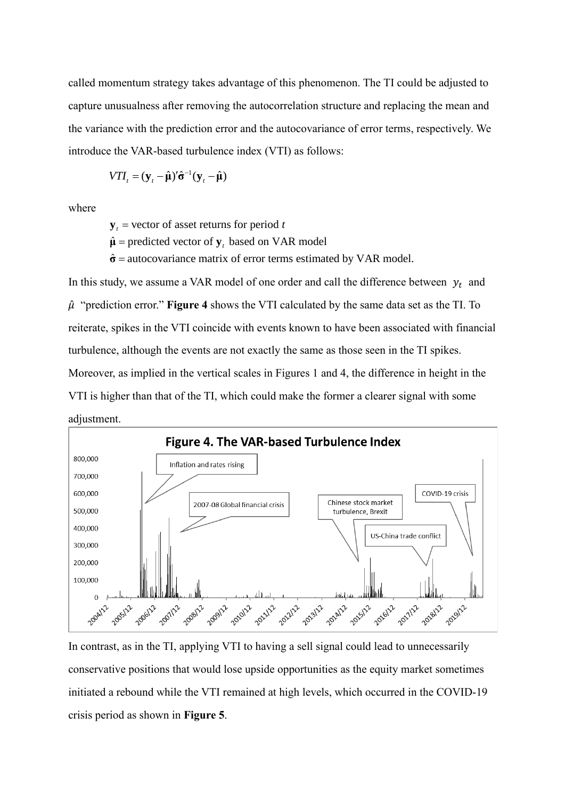called momentum strategy takes advantage of this phenomenon. The TI could be adjusted to capture unusualness after removing the autocorrelation structure and replacing the mean and the variance with the prediction error and the autocovariance of error terms, respectively. We introduce the VAR-based turbulence index (VTI) as follows:

$$
VTI_t = (\mathbf{y}_t - \hat{\boldsymbol{\mu}})' \hat{\boldsymbol{\sigma}}^{-1} (\mathbf{y}_t - \hat{\boldsymbol{\mu}})
$$

where

 $y_t$  = vector of asset returns for period *t* 

 $\hat{\mu}$  = predicted vector of  $y_t$  based on VAR model

**σ** = autocovariance matrix of error terms estimated by VAR model.

In this study, we assume a VAR model of one order and call the difference between  $y_t$  and  $\hat{\mu}$  "prediction error." **Figure 4** shows the VTI calculated by the same data set as the TI. To reiterate, spikes in the VTI coincide with events known to have been associated with financial turbulence, although the events are not exactly the same as those seen in the TI spikes. Moreover, as implied in the vertical scales in Figures 1 and 4, the difference in height in the VTI is higher than that of the TI, which could make the former a clearer signal with some adjustment.



In contrast, as in the TI, applying VTI to having a sell signal could lead to unnecessarily conservative positions that would lose upside opportunities as the equity market sometimes initiated a rebound while the VTI remained at high levels, which occurred in the COVID-19 crisis period as shown in **Figure 5**.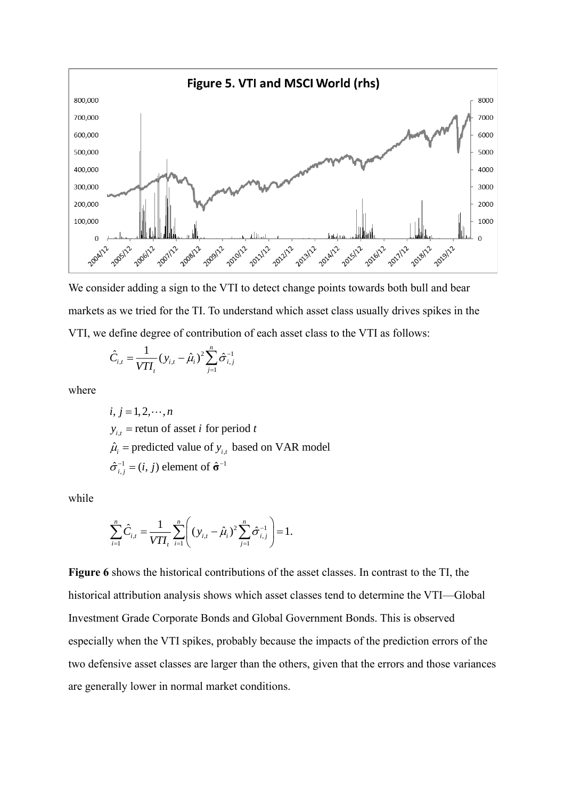

We consider adding a sign to the VTI to detect change points towards both bull and bear markets as we tried for the TI. To understand which asset class usually drives spikes in the VTI, we define degree of contribution of each asset class to the VTI as follows:

$$
\hat{C}_{i,t} = \frac{1}{VTI_t} (y_{i,t} - \hat{\mu}_i)^2 \sum_{j=1}^n \hat{\sigma}_{i,j}^{-1}
$$

where

 $y_{i,t}$  = retun of asset *i* for period *t*  $1 \leq \cdots 1 \leq r-1$  $i, j = 1, 2, \cdots, n$  $\hat{\mu}_i$  = predicted value of  $y_{i,t}$  based on VAR model  $\hat{\sigma}_{i,j}^{-1} = (i, j)$  element of  $\hat{\sigma}^{-1}$ 

while

$$
\sum_{i=1}^{n} \hat{C}_{i,t} = \frac{1}{VTI_t} \sum_{i=1}^{n} \left( (y_{i,t} - \hat{\mu}_i)^2 \sum_{j=1}^{n} \hat{\sigma}_{i,j}^{-1} \right) = 1.
$$

**Figure 6** shows the historical contributions of the asset classes. In contrast to the TI, the historical attribution analysis shows which asset classes tend to determine the VTI—Global Investment Grade Corporate Bonds and Global Government Bonds. This is observed especially when the VTI spikes, probably because the impacts of the prediction errors of the two defensive asset classes are larger than the others, given that the errors and those variances are generally lower in normal market conditions.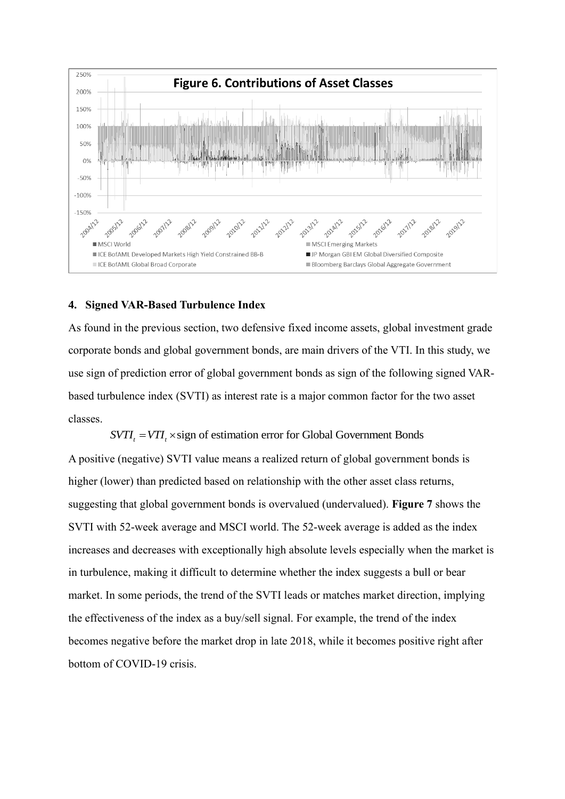

#### **4. Signed VAR-Based Turbulence Index**

As found in the previous section, two defensive fixed income assets, global investment grade corporate bonds and global government bonds, are main drivers of the VTI. In this study, we use sign of prediction error of global government bonds as sign of the following signed VARbased turbulence index (SVTI) as interest rate is a major common factor for the two asset classes.

 $SVTI_r = VTI_r \times sign$  of estimation error for Global Government Bonds

A positive (negative) SVTI value means a realized return of global government bonds is higher (lower) than predicted based on relationship with the other asset class returns, suggesting that global government bonds is overvalued (undervalued). **Figure 7** shows the SVTI with 52-week average and MSCI world. The 52-week average is added as the index increases and decreases with exceptionally high absolute levels especially when the market is in turbulence, making it difficult to determine whether the index suggests a bull or bear market. In some periods, the trend of the SVTI leads or matches market direction, implying the effectiveness of the index as a buy/sell signal. For example, the trend of the index becomes negative before the market drop in late 2018, while it becomes positive right after bottom of COVID-19 crisis.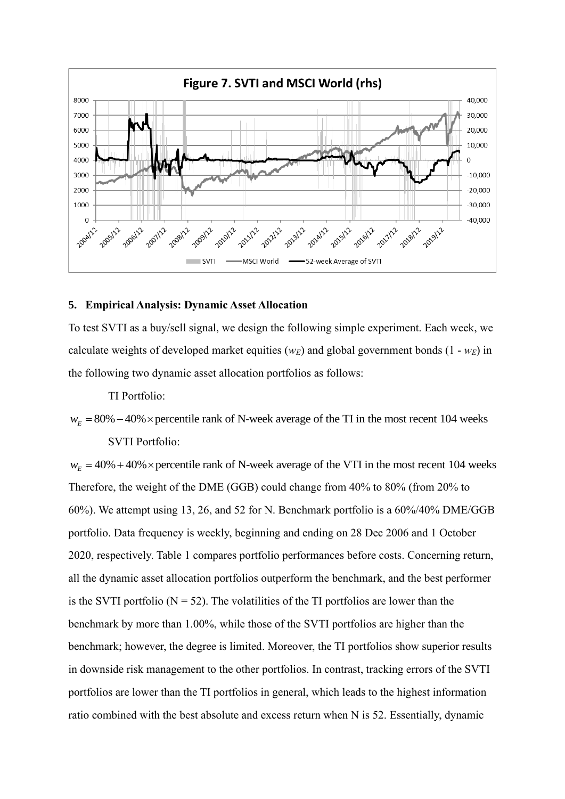![](_page_11_Figure_0.jpeg)

#### **5. Empirical Analysis: Dynamic Asset Allocation**

To test SVTI as a buy/sell signal, we design the following simple experiment. Each week, we calculate weights of developed market equities ( $w_E$ ) and global government bonds (1 -  $w_E$ ) in the following two dynamic asset allocation portfolios as follows:

TI Portfolio:

 $W_F = 80\% - 40\%$  × percentile rank of N-week average of the TI in the most recent 104 weeks SVTI Portfolio:

 $W<sub>E</sub> = 40% + 40% \times$  percentile rank of N-week average of the VTI in the most recent 104 weeks Therefore, the weight of the DME (GGB) could change from 40% to 80% (from 20% to 60%). We attempt using 13, 26, and 52 for N. Benchmark portfolio is a 60%/40% DME/GGB portfolio. Data frequency is weekly, beginning and ending on 28 Dec 2006 and 1 October 2020, respectively. Table 1 compares portfolio performances before costs. Concerning return, all the dynamic asset allocation portfolios outperform the benchmark, and the best performer is the SVTI portfolio ( $N = 52$ ). The volatilities of the TI portfolios are lower than the benchmark by more than 1.00%, while those of the SVTI portfolios are higher than the benchmark; however, the degree is limited. Moreover, the TI portfolios show superior results in downside risk management to the other portfolios. In contrast, tracking errors of the SVTI portfolios are lower than the TI portfolios in general, which leads to the highest information ratio combined with the best absolute and excess return when N is 52. Essentially, dynamic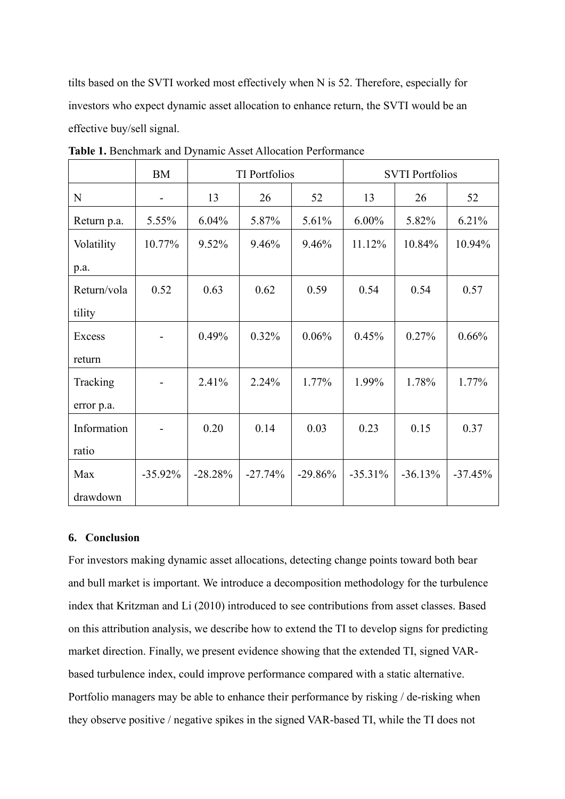tilts based on the SVTI worked most effectively when N is 52. Therefore, especially for investors who expect dynamic asset allocation to enhance return, the SVTI would be an effective buy/sell signal.

|             | <b>BM</b>  | <b>TI</b> Portfolios |           |           | <b>SVTI Portfolios</b> |           |           |
|-------------|------------|----------------------|-----------|-----------|------------------------|-----------|-----------|
| $\mathbf N$ |            | 13                   | 26        | 52        | 13                     | 26        | 52        |
| Return p.a. | 5.55%      | 6.04%                | 5.87%     | 5.61%     | $6.00\%$               | 5.82%     | 6.21%     |
| Volatility  | 10.77%     | 9.52%                | 9.46%     | 9.46%     | 11.12%                 | 10.84%    | 10.94%    |
| p.a.        |            |                      |           |           |                        |           |           |
| Return/vola | 0.52       | 0.63                 | 0.62      | 0.59      | 0.54                   | 0.54      | 0.57      |
| tility      |            |                      |           |           |                        |           |           |
| Excess      |            | 0.49%                | 0.32%     | 0.06%     | 0.45%                  | 0.27%     | 0.66%     |
| return      |            |                      |           |           |                        |           |           |
| Tracking    |            | 2.41%                | 2.24%     | 1.77%     | 1.99%                  | 1.78%     | 1.77%     |
| error p.a.  |            |                      |           |           |                        |           |           |
| Information |            | 0.20                 | 0.14      | 0.03      | 0.23                   | 0.15      | 0.37      |
| ratio       |            |                      |           |           |                        |           |           |
| Max         | $-35.92\%$ | $-28.28%$            | $-27.74%$ | $-29.86%$ | $-35.31%$              | $-36.13%$ | $-37.45%$ |
| drawdown    |            |                      |           |           |                        |           |           |

**Table 1.** Benchmark and Dynamic Asset Allocation Performance

### **6. Conclusion**

For investors making dynamic asset allocations, detecting change points toward both bear and bull market is important. We introduce a decomposition methodology for the turbulence index that Kritzman and Li (2010) introduced to see contributions from asset classes. Based on this attribution analysis, we describe how to extend the TI to develop signs for predicting market direction. Finally, we present evidence showing that the extended TI, signed VARbased turbulence index, could improve performance compared with a static alternative. Portfolio managers may be able to enhance their performance by risking / de-risking when they observe positive / negative spikes in the signed VAR-based TI, while the TI does not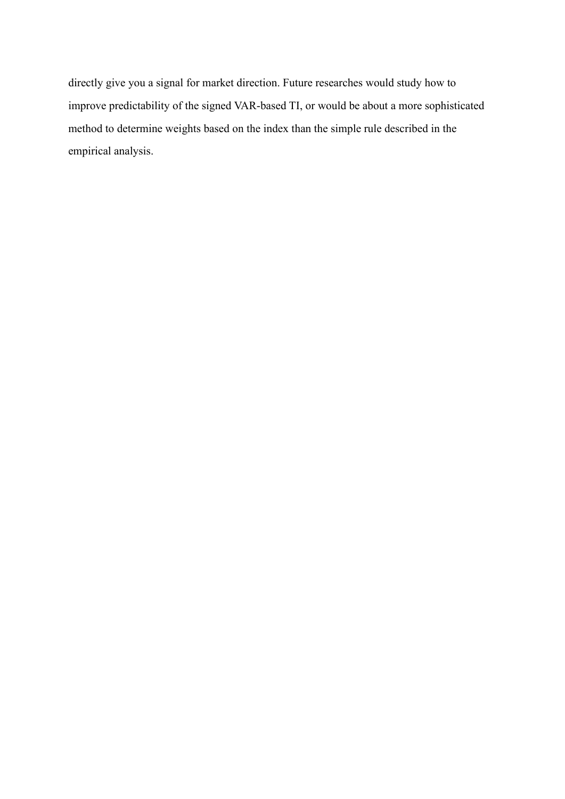directly give you a signal for market direction. Future researches would study how to improve predictability of the signed VAR-based TI, or would be about a more sophisticated method to determine weights based on the index than the simple rule described in the empirical analysis.